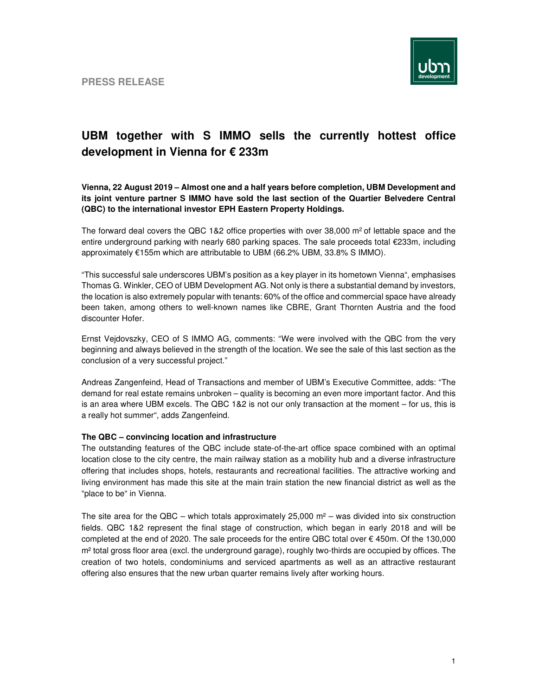

## **UBM together with S IMMO sells the currently hottest office development in Vienna for € 233m**

**Vienna, 22 August 2019 – Almost one and a half years before completion, UBM Development and its joint venture partner S IMMO have sold the last section of the Quartier Belvedere Central (QBC) to the international investor EPH Eastern Property Holdings.** 

The forward deal covers the QBC 1&2 office properties with over 38,000 m<sup>2</sup> of lettable space and the entire underground parking with nearly 680 parking spaces. The sale proceeds total €233m, including approximately €155m which are attributable to UBM (66.2% UBM, 33.8% S IMMO).

"This successful sale underscores UBM's position as a key player in its hometown Vienna", emphasises Thomas G. Winkler, CEO of UBM Development AG. Not only is there a substantial demand by investors, the location is also extremely popular with tenants: 60% of the office and commercial space have already been taken, among others to well-known names like CBRE, Grant Thornten Austria and the food discounter Hofer.

Ernst Vejdovszky, CEO of S IMMO AG, comments: "We were involved with the QBC from the very beginning and always believed in the strength of the location. We see the sale of this last section as the conclusion of a very successful project."

Andreas Zangenfeind, Head of Transactions and member of UBM's Executive Committee, adds: "The demand for real estate remains unbroken – quality is becoming an even more important factor. And this is an area where UBM excels. The QBC 1&2 is not our only transaction at the moment – for us, this is a really hot summer", adds Zangenfeind.

## **The QBC – convincing location and infrastructure**

The outstanding features of the QBC include state-of-the-art office space combined with an optimal location close to the city centre, the main railway station as a mobility hub and a diverse infrastructure offering that includes shops, hotels, restaurants and recreational facilities. The attractive working and living environment has made this site at the main train station the new financial district as well as the "place to be" in Vienna.

The site area for the QBC – which totals approximately 25,000  $m^2$  – was divided into six construction fields. QBC 1&2 represent the final stage of construction, which began in early 2018 and will be completed at the end of 2020. The sale proceeds for the entire QBC total over € 450m. Of the 130,000 m² total gross floor area (excl. the underground garage), roughly two-thirds are occupied by offices. The creation of two hotels, condominiums and serviced apartments as well as an attractive restaurant offering also ensures that the new urban quarter remains lively after working hours.